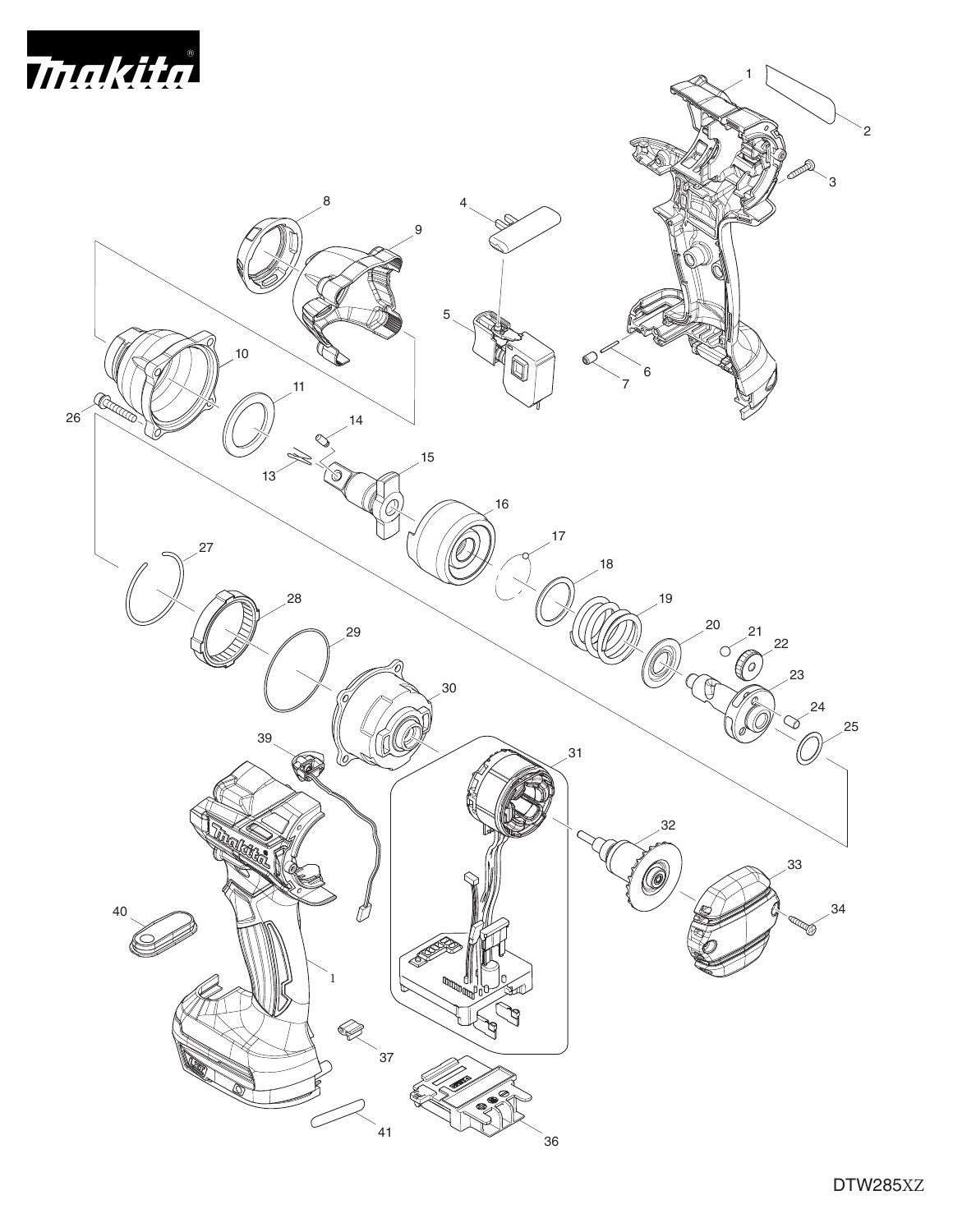